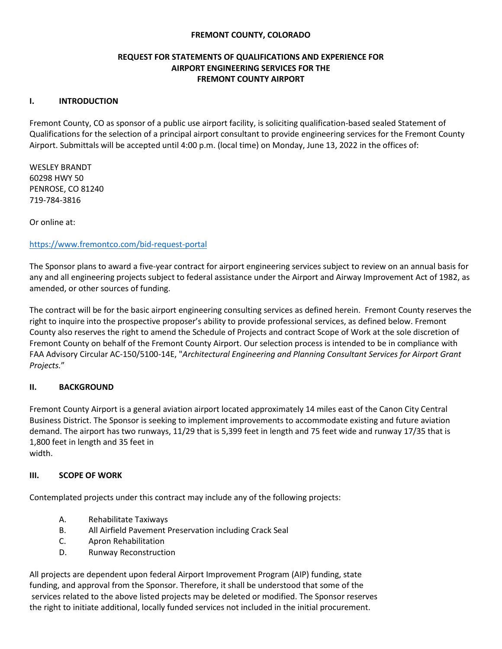### **FREMONT COUNTY, COLORADO**

### **REQUEST FOR STATEMENTS OF QUALIFICATIONS AND EXPERIENCE FOR AIRPORT ENGINEERING SERVICES FOR THE FREMONT COUNTY AIRPORT**

#### **I. INTRODUCTION**

Fremont County, CO as sponsor of a public use airport facility, is soliciting qualification-based sealed Statement of Qualifications for the selection of a principal airport consultant to provide engineering services for the Fremont County Airport. Submittals will be accepted until 4:00 p.m. (local time) on Monday, June 13, 2022 in the offices of:

WESLEY BRANDT 60298 HWY 50 PENROSE, CO 81240 719-784-3816

Or online at:

#### <https://www.fremontco.com/bid-request-portal>

The Sponsor plans to award a five-year contract for airport engineering services subject to review on an annual basis for any and all engineering projects subject to federal assistance under the Airport and Airway Improvement Act of 1982, as amended, or other sources of funding.

The contract will be for the basic airport engineering consulting services as defined herein. Fremont County reserves the right to inquire into the prospective proposer's ability to provide professional services, as defined below. Fremont County also reserves the right to amend the Schedule of Projects and contract Scope of Work at the sole discretion of Fremont County on behalf of the Fremont County Airport. Our selection process is intended to be in compliance with FAA Advisory Circular AC-150/5100-14E, "*Architectural Engineering and Planning Consultant Services for Airport Grant Projects.*"

#### **II. BACKGROUND**

Fremont County Airport is a general aviation airport located approximately 14 miles east of the Canon City Central Business District. The Sponsor is seeking to implement improvements to accommodate existing and future aviation demand. The airport has two runways, 11/29 that is 5,399 feet in length and 75 feet wide and runway 17/35 that is 1,800 feet in length and 35 feet in

width.

### **III. SCOPE OF WORK**

Contemplated projects under this contract may include any of the following projects:

- A. Rehabilitate Taxiways
- B. All Airfield Pavement Preservation including Crack Seal
- C. Apron Rehabilitation
- D. Runway Reconstruction

All projects are dependent upon federal Airport Improvement Program (AIP) funding, state funding, and approval from the Sponsor. Therefore, it shall be understood that some of the services related to the above listed projects may be deleted or modified. The Sponsor reserves the right to initiate additional, locally funded services not included in the initial procurement.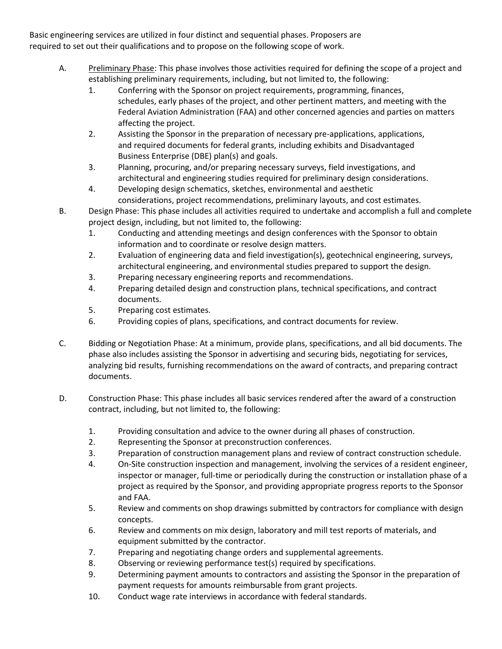Basic engineering services are utilized in four distinct and sequential phases. Proposers are required to set out their qualifications and to propose on the following scope of work.

- A. Preliminary Phase: This phase involves those activities required for defining the scope of a project and establishing preliminary requirements, including, but not limited to, the following:
	- 1. Conferring with the Sponsor on project requirements, programming, finances, schedules, early phases of the project, and other pertinent matters, and meeting with the Federal Aviation Administration (FAA) and other concerned agencies and parties on matters affecting the project.
	- 2. Assisting the Sponsor in the preparation of necessary pre-applications, applications, and required documents for federal grants, including exhibits and Disadvantaged Business Enterprise (DBE) plan(s) and goals.
	- 3. Planning, procuring, and/or preparing necessary surveys, field investigations, and architectural and engineering studies required for preliminary design considerations.
	- 4. Developing design schematics, sketches, environmental and aesthetic considerations, project recommendations, preliminary layouts, and cost estimates.
- B. Design Phase: This phase includes all activities required to undertake and accomplish a full and complete project design, including, but not limited to, the following:
	- 1. Conducting and attending meetings and design conferences with the Sponsor to obtain information and to coordinate or resolve design matters.
	- 2. Evaluation of engineering data and field investigation(s), geotechnical engineering, surveys, architectural engineering, and environmental studies prepared to support the design.
	- 3. Preparing necessary engineering reports and recommendations.
	- 4. Preparing detailed design and construction plans, technical specifications, and contract documents.
	- 5. Preparing cost estimates.
	- 6. Providing copies of plans, specifications, and contract documents for review.
- C. Bidding or Negotiation Phase: At a minimum, provide plans, specifications, and all bid documents. The phase also includes assisting the Sponsor in advertising and securing bids, negotiating for services, analyzing bid results, furnishing recommendations on the award of contracts, and preparing contract documents.
- D. Construction Phase: This phase includes all basic services rendered after the award of a construction contract, including, but not limited to, the following:
	- 1. Providing consultation and advice to the owner during all phases of construction.
	- 2. Representing the Sponsor at preconstruction conferences.
	- 3. Preparation of construction management plans and review of contract construction schedule.
	- 4. On-Site construction inspection and management, involving the services of a resident engineer, inspector or manager, full-time or periodically during the construction or installation phase of a project as required by the Sponsor, and providing appropriate progress reports to the Sponsor and FAA.
	- 5. Review and comments on shop drawings submitted by contractors for compliance with design concepts.
	- 6. Review and comments on mix design, laboratory and mill test reports of materials, and equipment submitted by the contractor.
	- 7. Preparing and negotiating change orders and supplemental agreements.
	- 8. Observing or reviewing performance test(s) required by specifications.
	- 9. Determining payment amounts to contractors and assisting the Sponsor in the preparation of payment requests for amounts reimbursable from grant projects.
	- 10. Conduct wage rate interviews in accordance with federal standards.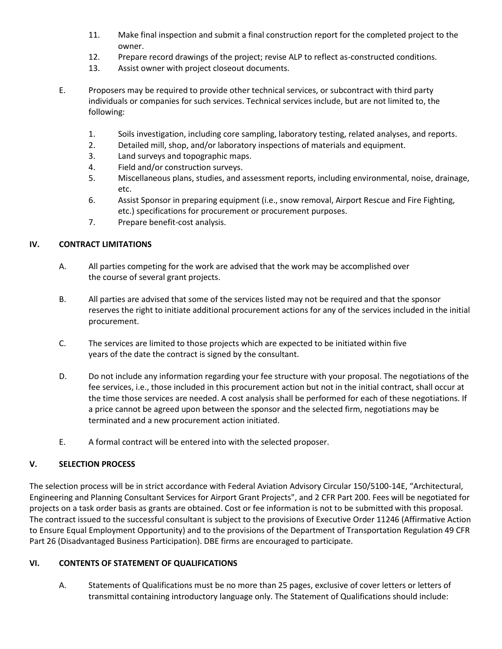- 11. Make final inspection and submit a final construction report for the completed project to the owner.
- 12. Prepare record drawings of the project; revise ALP to reflect as-constructed conditions.
- 13. Assist owner with project closeout documents.
- E. Proposers may be required to provide other technical services, or subcontract with third party individuals or companies for such services. Technical services include, but are not limited to, the following:
	- 1. Soils investigation, including core sampling, laboratory testing, related analyses, and reports.
	- 2. Detailed mill, shop, and/or laboratory inspections of materials and equipment.
	- 3. Land surveys and topographic maps.
	- 4. Field and/or construction surveys.
	- 5. Miscellaneous plans, studies, and assessment reports, including environmental, noise, drainage, etc.
	- 6. Assist Sponsor in preparing equipment (i.e., snow removal, Airport Rescue and Fire Fighting, etc.) specifications for procurement or procurement purposes.
	- 7. Prepare benefit-cost analysis.

### **IV. CONTRACT LIMITATIONS**

- A. All parties competing for the work are advised that the work may be accomplished over the course of several grant projects.
- B. All parties are advised that some of the services listed may not be required and that the sponsor reserves the right to initiate additional procurement actions for any of the services included in the initial procurement.
- C. The services are limited to those projects which are expected to be initiated within five years of the date the contract is signed by the consultant.
- D. Do not include any information regarding your fee structure with your proposal. The negotiations of the fee services, i.e., those included in this procurement action but not in the initial contract, shall occur at the time those services are needed. A cost analysis shall be performed for each of these negotiations. If a price cannot be agreed upon between the sponsor and the selected firm, negotiations may be terminated and a new procurement action initiated.
- E. A formal contract will be entered into with the selected proposer.

### **V. SELECTION PROCESS**

The selection process will be in strict accordance with Federal Aviation Advisory Circular 150/5100-14E, "Architectural, Engineering and Planning Consultant Services for Airport Grant Projects", and 2 CFR Part 200. Fees will be negotiated for projects on a task order basis as grants are obtained. Cost or fee information is not to be submitted with this proposal. The contract issued to the successful consultant is subject to the provisions of Executive Order 11246 (Affirmative Action to Ensure Equal Employment Opportunity) and to the provisions of the Department of Transportation Regulation 49 CFR Part 26 (Disadvantaged Business Participation). DBE firms are encouraged to participate.

## **VI. CONTENTS OF STATEMENT OF QUALIFICATIONS**

A. Statements of Qualifications must be no more than 25 pages, exclusive of cover letters or letters of transmittal containing introductory language only. The Statement of Qualifications should include: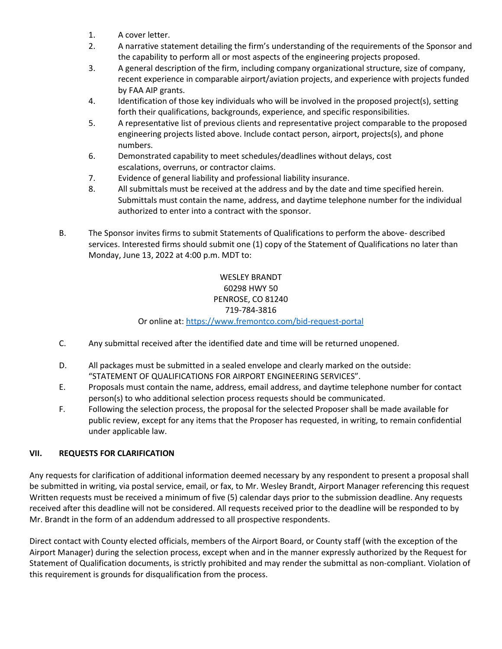- 1. A cover letter.
- 2. A narrative statement detailing the firm's understanding of the requirements of the Sponsor and the capability to perform all or most aspects of the engineering projects proposed.
- 3. A general description of the firm, including company organizational structure, size of company, recent experience in comparable airport/aviation projects, and experience with projects funded by FAA AIP grants.
- 4. Identification of those key individuals who will be involved in the proposed project(s), setting forth their qualifications, backgrounds, experience, and specific responsibilities.
- 5. A representative list of previous clients and representative project comparable to the proposed engineering projects listed above. Include contact person, airport, projects(s), and phone numbers.
- 6. Demonstrated capability to meet schedules/deadlines without delays, cost escalations, overruns, or contractor claims.
- 7. Evidence of general liability and professional liability insurance.
- 8. All submittals must be received at the address and by the date and time specified herein. Submittals must contain the name, address, and daytime telephone number for the individual authorized to enter into a contract with the sponsor.
- B. The Sponsor invites firms to submit Statements of Qualifications to perform the above- described services. Interested firms should submit one (1) copy of the Statement of Qualifications no later than Monday, June 13, 2022 at 4:00 p.m. MDT to:

## WESLEY BRANDT 60298 HWY 50 PENROSE, CO 81240 719-784-3816

## Or online at:<https://www.fremontco.com/bid-request-portal>

- C. Any submittal received after the identified date and time will be returned unopened.
- D. All packages must be submitted in a sealed envelope and clearly marked on the outside: "STATEMENT OF QUALIFICATIONS FOR AIRPORT ENGINEERING SERVICES".
- E. Proposals must contain the name, address, email address, and daytime telephone number for contact person(s) to who additional selection process requests should be communicated.
- F. Following the selection process, the proposal for the selected Proposer shall be made available for public review, except for any items that the Proposer has requested, in writing, to remain confidential under applicable law.

# **VII. REQUESTS FOR CLARIFICATION**

Any requests for clarification of additional information deemed necessary by any respondent to present a proposal shall be submitted in writing, via postal service, email, or fax, to Mr. Wesley Brandt, Airport Manager referencing this request Written requests must be received a minimum of five (5) calendar days prior to the submission deadline. Any requests received after this deadline will not be considered. All requests received prior to the deadline will be responded to by Mr. Brandt in the form of an addendum addressed to all prospective respondents.

Direct contact with County elected officials, members of the Airport Board, or County staff (with the exception of the Airport Manager) during the selection process, except when and in the manner expressly authorized by the Request for Statement of Qualification documents, is strictly prohibited and may render the submittal as non-compliant. Violation of this requirement is grounds for disqualification from the process.